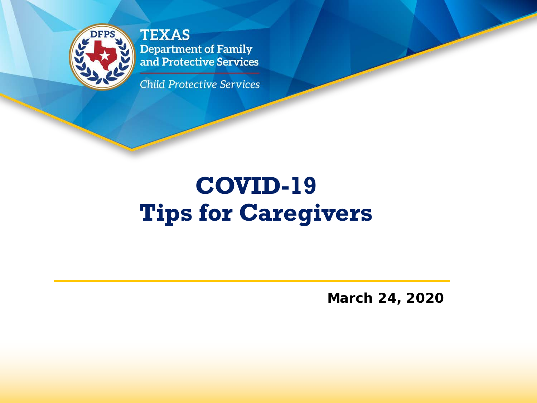

**TEXAS Department of Family** and Protective Services

**Child Protective Services** 

# **COVID-19 Tips for Caregivers**

**March 24, 2020**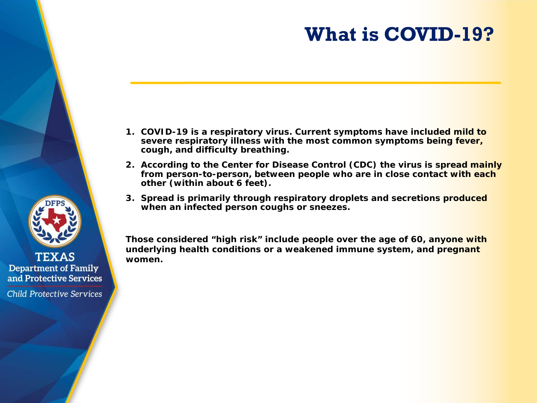# **What is COVID-19?**

- **1. COVID-19 is a respiratory virus. Current symptoms have included mild to severe respiratory illness with the most common symptoms being fever, cough, and difficulty breathing.**
- **2. According to the Center for Disease Control (CDC) the virus is spread mainly from person-to-person, between people who are in close contact with each other (within about 6 feet).**
- **3. Spread is primarily through respiratory droplets and secretions produced when an infected person coughs or sneezes.**

*Those considered "high risk" include people over the age of 60, anyone with underlying health conditions or a weakened immune system, and pregnant women.*



**TEXAS Department of Family** and Protective Services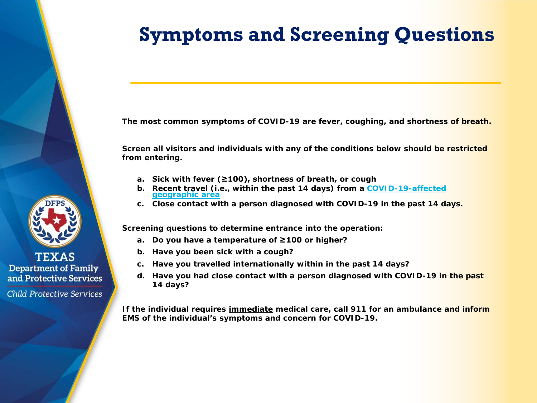# **Symptoms and Screening Questions**

**The most common symptoms of COVID-19 are fever, coughing, and shortness of breath.**

**Screen all visitors and individuals with any of the conditions below should be restricted from entering.** 

- **a. Sick with fever (≥100), shortness of breath, or cough**
- **b. [Recent travel \(i.e., within the past 14 days\) from a COVID-19-affected](https://www.cdc.gov/coronavirus/2019-nCoV/hcp/clinical-criteria.html) geographic area**
- **c. Close contact with a person diagnosed with COVID-19 in the past 14 days.**

**Screening questions to determine entrance into the operation:** 

- **a. Do you have a temperature of ≥100 or higher?**
- **b. Have you been sick with a cough?**
- **c. Have you travelled internationally within in the past 14 days?**
- **d. Have you had close contact with a person diagnosed with COVID-19 in the past 14 days?**

**If the individual requires immediate medical care, call 911 for an ambulance and inform EMS of the individual's symptoms and concern for COVID-19.** 



**TEXAS Department of Family** and Protective Services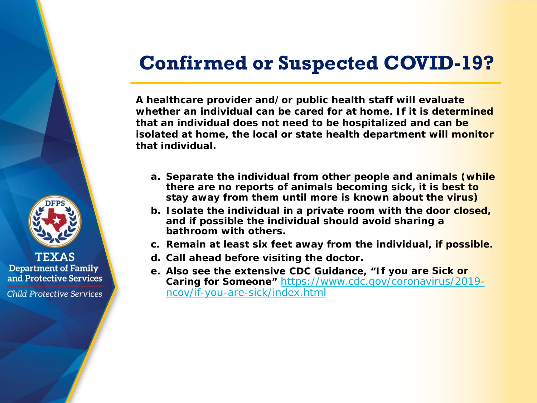### **Confirmed or Suspected COVID-19?**

**A healthcare provider and/or public health staff will evaluate whether an individual can be cared for at home. If it is determined that an individual does not need to be hospitalized and can be isolated at home, the local or state health department will monitor that individual.** 

- **a. Separate the individual from other people and animals** *(while there are no reports of animals becoming sick, it is best to stay away from them until more is known about the virus)*
- **b. Isolate the individual in a private room with the door closed, and if possible the individual should avoid sharing a bathroom with others.**
- **c. Remain at least six feet away from the individual, if possible.**
- **d. Call ahead before visiting the doctor.**
- **e. Also see the extensive CDC Guidance, "***If you are Sick or Caring for Someone"* [https://www.cdc.gov/coronavirus/2019](https://www.cdc.gov/coronavirus/2019-ncov/if-you-are-sick/index.html) ncov/if-you-are-sick/index.html



**TEXAS Department of Family** and Protective Services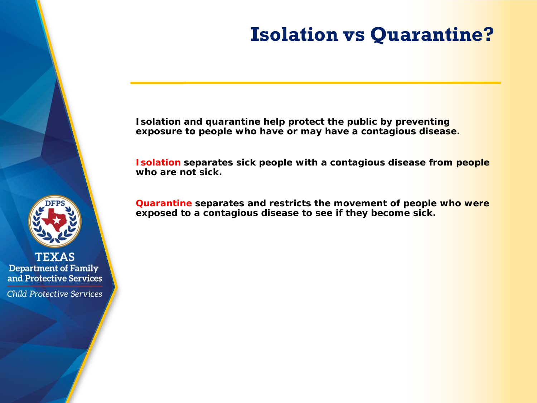# **Isolation vs Quarantine?**

**Isolation and quarantine help protect the public by preventing exposure to people who have or may have a contagious disease.**

**Isolation separates sick people with a contagious disease from people who are not sick.**

**Quarantine separates and restricts the movement of people who were exposed to a contagious disease to see if they become sick.**



**TEXAS Department of Family** and Protective Services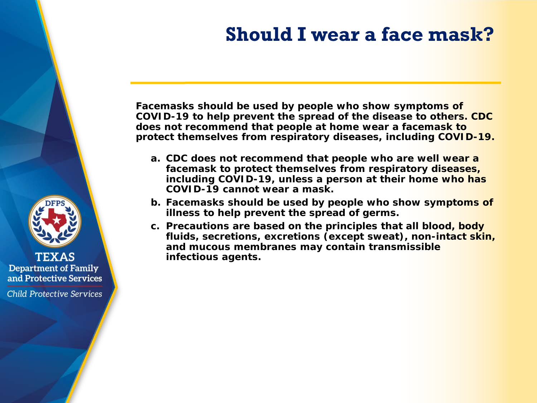### **Should I wear a face mask?**

**Facemasks should be used by people who show symptoms of COVID-19 to help prevent the spread of the disease to others. CDC does not recommend that people at home wear a facemask to protect themselves from respiratory diseases, including COVID-19.**

- **a. CDC does not recommend that people who are well wear a facemask to protect themselves from respiratory diseases, including COVID-19, unless a person at their home who has COVID-19 cannot wear a mask.**
- **b. Facemasks should be used by people who show symptoms of illness to help prevent the spread of germs.**
- **c. Precautions are based on the principles that all blood, body fluids, secretions, excretions (except sweat), non-intact skin, and mucous membranes may contain transmissible infectious agents.**



**TEXAS Department of Family** and Protective Services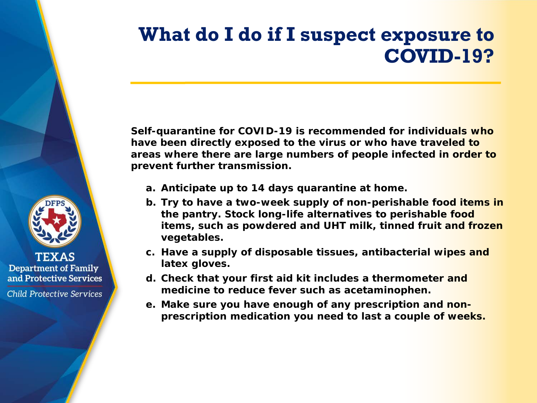# **What do I do if I suspect exposure to COVID-19?**

**Self-quarantine for COVID-19 is recommended for individuals who have been directly exposed to the virus or who have traveled to areas where there are large numbers of people infected in order to prevent further transmission.**

**a. Anticipate up to 14 days quarantine at home.**

**TEXAS Department of Family** and Protective Services

- **b. Try to have a two-week supply of non-perishable food items in the pantry. Stock long-life alternatives to perishable food items, such as powdered and UHT milk, tinned fruit and frozen vegetables.**
- **c. Have a supply of disposable tissues, antibacterial wipes and latex gloves.**
- **d. Check that your first aid kit includes a thermometer and medicine to reduce fever such as acetaminophen.**
- **e. Make sure you have enough of any prescription and nonprescription medication you need to last a couple of weeks.**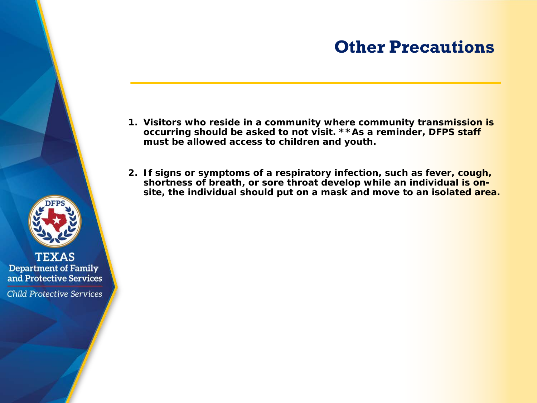### **Other Precautions**

- **1. Visitors who reside in a community where community transmission is occurring should be asked to not visit.** *\*\*As a reminder, DFPS staff must be allowed access to children and youth.*
- **2. If signs or symptoms of a respiratory infection, such as fever, cough, shortness of breath, or sore throat develop while an individual is onsite, the individual should put on a mask and move to an isolated area.**



**TEXAS Department of Family** and Protective Services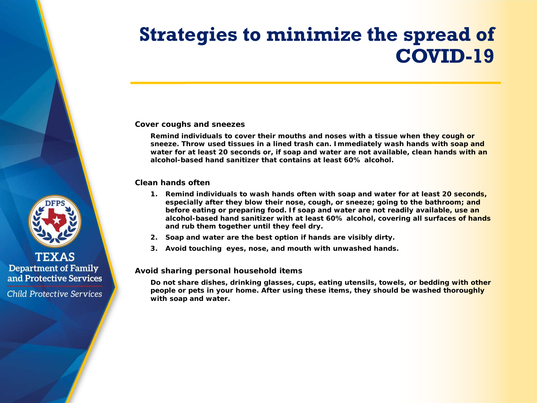# **Strategies to minimize the spread of COVID-19**

#### **Cover coughs and sneezes**

**Remind individuals to cover their mouths and noses with a tissue when they cough or sneeze. Throw used tissues in a lined trash can. Immediately wash hands with soap and water for at least 20 seconds or, if soap and water are not available, clean hands with an alcohol-based hand sanitizer that contains at least 60% alcohol.**

#### **Clean hands often**

- **1. Remind individuals to wash hands often with soap and water for at least 20 seconds, especially after they blow their nose, cough, or sneeze; going to the bathroom; and before eating or preparing food. If soap and water are not readily available, use an alcohol-based hand sanitizer with at least 60% alcohol, covering all surfaces of hands and rub them together until they feel dry.**
- **2. Soap and water are the best option if hands are visibly dirty.**
- **3. Avoid touching eyes, nose, and mouth with unwashed hands.**

#### **Avoid sharing personal household items**

**Do not share dishes, drinking glasses, cups, eating utensils, towels, or bedding with other people or pets in your home. After using these items, they should be washed thoroughly with soap and water.**



#### **TEXAS Department of Family** and Protective Services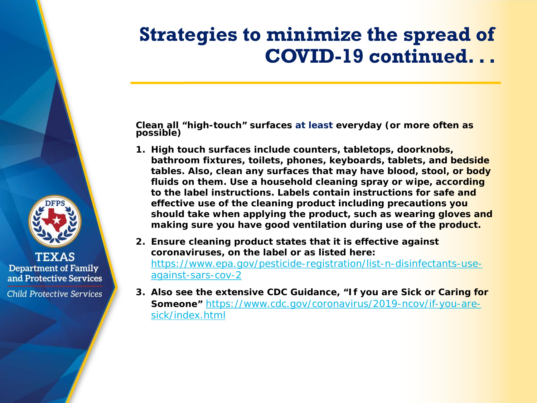### **Strategies to minimize the spread of COVID-19 continued. . .**

**Clean all "high-touch" surfaces at least everyday (or more often as possible)**

- **1. High touch surfaces include counters, tabletops, doorknobs, bathroom fixtures, toilets, phones, keyboards, tablets, and bedside tables. Also, clean any surfaces that may have blood, stool, or body fluids on them. Use a household cleaning spray or wipe, according to the label instructions. Labels contain instructions for safe and effective use of the cleaning product including precautions you should take when applying the product, such as wearing gloves and making sure you have good ventilation during use of the product.**
- **2. Ensure cleaning product states that it is effective against coronaviruses, on the label or as listed here:**  [https://www.epa.gov/pesticide-registration/list-n-disinfectants-use](https://www.epa.gov/pesticide-registration/list-n-disinfectants-use-against-sars-cov-2)against-sars-cov-2
- **3. Also see the extensive CDC Guidance, "***If you are Sick or Caring for Someone"* [https://www.cdc.gov/coronavirus/2019-ncov/if-you-are](https://www.cdc.gov/coronavirus/2019-ncov/if-you-are-sick/index.html)sick/index.html



**TEXAS Department of Family** and Protective Services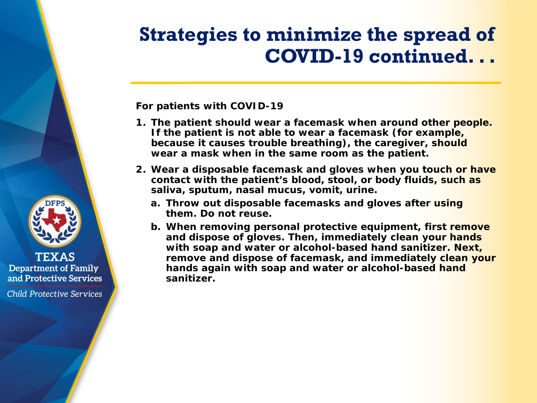### **Strategies to minimize the spread of COVID-19 continued. . .**

**For patients with COVID-19**

- **1. The patient should wear a facemask when around other people. If the patient is not able to wear a facemask (for example, because it causes trouble breathing), the caregiver, should wear a mask when in the same room as the patient.**
- **2. Wear a disposable facemask and gloves when you touch or have contact with the patient's blood, stool, or body fluids, such as saliva, sputum, nasal mucus, vomit, urine.** 
	- **a. Throw out disposable facemasks and gloves after using them. Do not reuse.**
	- **b. When removing personal protective equipment, first remove and dispose of gloves. Then, immediately clean your hands with soap and water or alcohol-based hand sanitizer. Next, remove and dispose of facemask, and immediately clean your hands again with soap and water or alcohol-based hand sanitizer.**



**TEXAS Department of Family** and Protective Services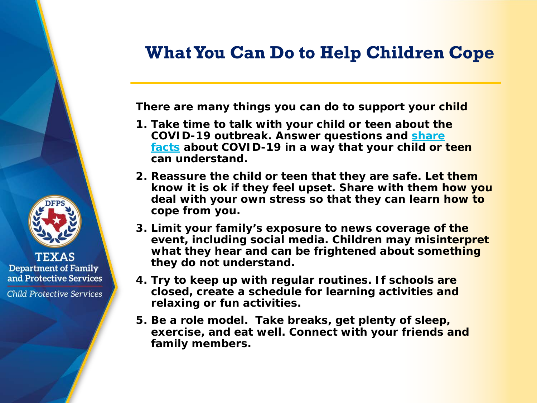### **What You Can Do to Help Children Cope**

**There are many things you can do to support your child** 

- **1. Take time to talk with your child or teen about the [COVID-19 outbreak. Answer questions and share](https://www.cdc.gov/coronavirus/2019-ncov/symptoms-testing/share-facts.html)  facts about COVID-19 in a way that your child or teen can understand.**
- **2. Reassure the child or teen that they are safe. Let them know it is ok if they feel upset. Share with them how you deal with your own stress so that they can learn how to cope from you.**
- **3. Limit your family's exposure to news coverage of the event, including social media. Children may misinterpret what they hear and can be frightened about something they do not understand.**
- **4. Try to keep up with regular routines. If schools are closed, create a schedule for learning activities and relaxing or fun activities.**
- **5. Be a role model. Take breaks, get plenty of sleep, exercise, and eat well. Connect with your friends and family members.**



**TEXAS Department of Family** and Protective Services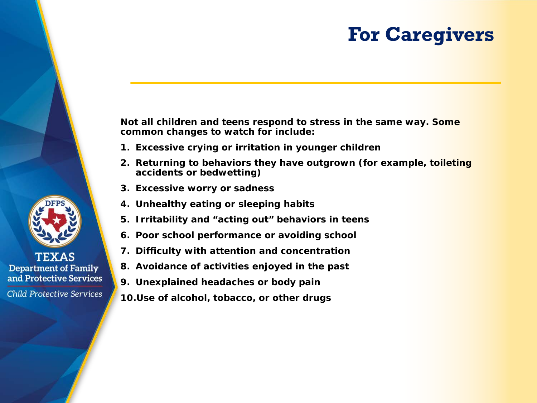### **For Caregivers**

**Not all children and teens respond to stress in the same way. Some common changes to watch for include:** 

- **1. Excessive crying or irritation in younger children**
- **2. Returning to behaviors they have outgrown (for example, toileting accidents or bedwetting)**
- **3. Excessive worry or sadness**
- **4. Unhealthy eating or sleeping habits**
- **5. Irritability and "acting out" behaviors in teens**
- **6. Poor school performance or avoiding school**
- **7. Difficulty with attention and concentration**
- **8. Avoidance of activities enjoyed in the past**
- **9. Unexplained headaches or body pain**
- **10.Use of alcohol, tobacco, or other drugs**



**TEXAS Department of Family** and Protective Services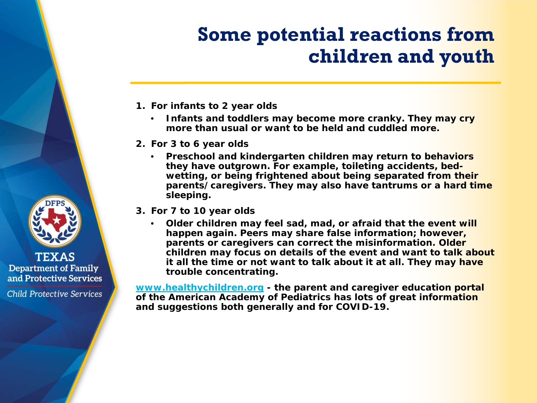# **Some potential reactions from children and youth**

- **1. For infants to 2 year olds**
	- **Infants and toddlers may become more cranky. They may cry more than usual or want to be held and cuddled more.**
- **2. For 3 to 6 year olds**
	- **Preschool and kindergarten children may return to behaviors they have outgrown. For example, toileting accidents, bedwetting, or being frightened about being separated from their parents/caregivers. They may also have tantrums or a hard time sleeping.**
- **3. For 7 to 10 year olds**
	- **Older children may feel sad, mad, or afraid that the event will happen again. Peers may share false information; however, parents or caregivers can correct the misinformation. Older children may focus on details of the event and want to talk about it all the time or not want to talk about it at all. They may have trouble concentrating.**

**[www.healthychildren.org](http://www.healthychildren.org/) - the parent and caregiver education portal of the American Academy of Pediatrics has lots of great information and suggestions both generally and for COVID-19.** 



**TEXAS Department of Family** and Protective Services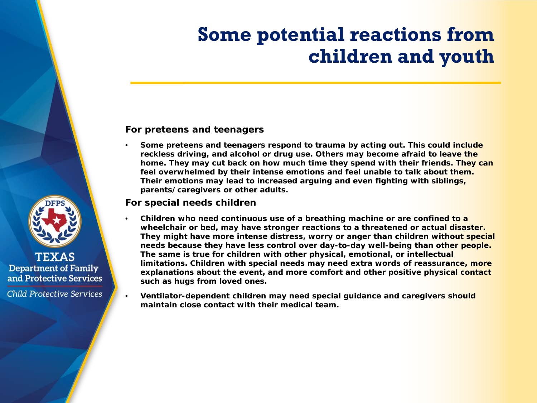### **Some potential reactions from children and youth**

#### **For preteens and teenagers**

• **Some preteens and teenagers respond to trauma by acting out. This could include reckless driving, and alcohol or drug use. Others may become afraid to leave the home. They may cut back on how much time they spend with their friends. They can feel overwhelmed by their intense emotions and feel unable to talk about them. Their emotions may lead to increased arguing and even fighting with siblings, parents/caregivers or other adults.**

#### **For special needs children**

- **Children who need continuous use of a breathing machine or are confined to a wheelchair or bed, may have stronger reactions to a threatened or actual disaster. They might have more intense distress, worry or anger than children without special needs because they have less control over day-to-day well-being than other people. The same is true for children with other physical, emotional, or intellectual limitations. Children with special needs may need extra words of reassurance, more explanations about the event, and more comfort and other positive physical contact such as hugs from loved ones.**
- **Ventilator-dependent children may need special guidance and caregivers should maintain close contact with their medical team.**



**TEXAS Department of Family** and Protective Services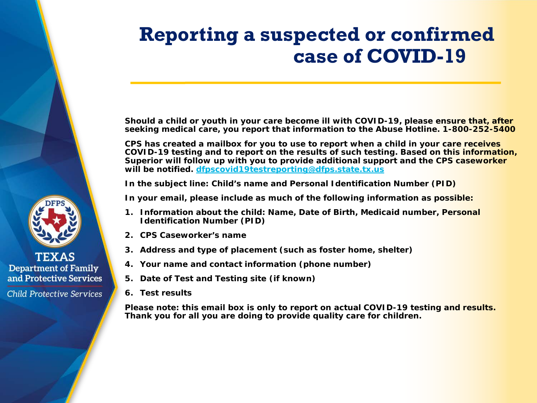# **Reporting a suspected or confirmed case of COVID-19**

**Should a child or youth in your care become ill with COVID-19, please ensure that, after seeking medical care, you report that information to the Abuse Hotline. 1-800-252-5400**

**CPS has created a mailbox for you to use to report when a child in your care receives COVID-19 testing and to report on the results of such testing. Based on this information, Superior will follow up with you to provide additional support and the CPS caseworker will be notified. [dfpscovid19testreporting@dfps.state.tx.us](mailto:dfpscovid19testreporting@dfps.state.tx.us)**

**In the subject line: Child's name and Personal Identification Number (PID)**

**In your email, please include as much of the following information as possible:**

- **1. Information about the child: Name, Date of Birth, Medicaid number, Personal Identification Number (PID)**
- **2. CPS Caseworker's name**
- **3. Address and type of placement (such as foster home, shelter)**
- **4. Your name and contact information (phone number)**
- **5. Date of Test and Testing site (if known)**
- **6. Test results**

**Please note: this email box is only to report on actual COVID-19 testing and results. Thank you for all you are doing to provide quality care for children.**



**TEXAS Department of Family** and Protective Services